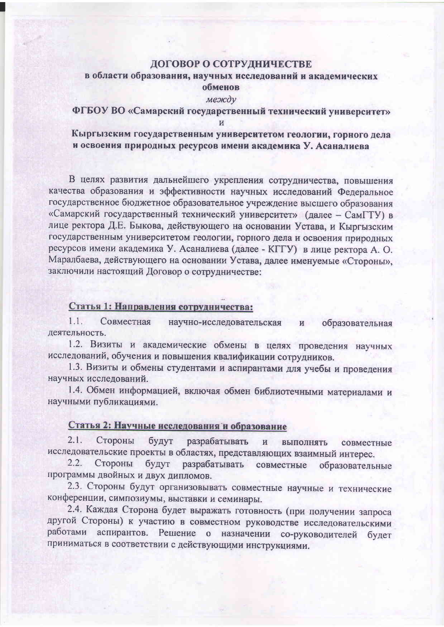# ДОГОВОР О СОТРУДНИЧЕСТВЕ

# в области образования, научных исследований и академических обменов

#### между

### ФГБОУ ВО «Самарский государственный технический университет»  $\overline{M}$

# Кыргызским государственным университетом геологии, горного дела и освоения природных ресурсов имени академика У. Асаналиева

В целях развития дальнейшего укрепления сотрудничества, повышения качества образования и эффективности научных исследований Федеральное государственное бюджетное образовательное учреждение высшего образования «Самарский государственный технический университет» (далее - СамГТУ) в лице ректора Д.Е. Быкова, действующего на основании Устава, и Кыргызским государственным университетом геологии, горного дела и освоения природных ресурсов имени академика У. Асаналиева (далее - КГГУ) в лице ректора А. О. Маралбаева, действующего на основании Устава, далее именуемые «Стороны», заключили настоящий Договор о сотрудничестве:

#### Статья 1: Направления сотрудничества:

 $1.1.$ Совместная научно-исследовательская образовательная  $\overline{M}$ леятельность

1.2. Визиты и академические обмены в целях проведения научных исследований, обучения и повышения квалификации сотрудников.

1.3. Визиты и обмены студентами и аспирантами для учебы и проведения научных исследований.

1.4. Обмен информацией, включая обмен библиотечными материалами и научными публикациями.

# Статья 2: Научные исследования и образование

 $2.1.$ Стороны будут разрабатывать  $\mathbf{H}$ выполнять совместные исследовательские проекты в областях, представляющих взаимный интерес.

 $2.2.$ Стороны будут разрабатывать совместные образовательные программы двойных и двух дипломов.

2.3. Стороны будут организовывать совместные научные и технические конференции, симпозиумы, выставки и семинары.

2.4. Каждая Сторона будет выражать готовность (при получении запроса другой Стороны) к участию в совместном руководстве исследовательскими аспирантов. Решение о назначении со-руководителей будет работами приниматься в соответствии с действующими инструкциями.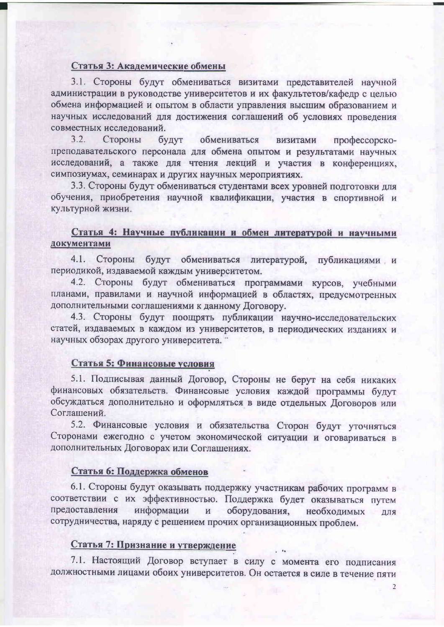#### Статья 3: Академические обмены

3.1. Стороны будут обмениваться визитами представителей научной администрации в руководстве университетов и их факультетов/кафедр с целью обмена информацией и опытом в области управления высшим образованием и научных исследований для достижения соглашений об условиях проведения совместных исследований.

 $3.2.$ Стороны будут обмениваться визитами профессорскопреподавательского персонала для обмена опытом и результатами научных исследований, а также для чтения лекций и участия в конференциях, симпозиумах, семинарах и других научных мероприятиях.

3.3. Стороны будут обмениваться студентами всех уровней подготовки для обучения, приобретения научной квалификации, участия в спортивной и культурной жизни.

# Статья 4: Научные публикации и обмен литературой и научными документами

4.1. Стороны будут обмениваться литературой, публикациями и периодикой, издаваемой каждым университетом.

4.2. Стороны будут обмениваться программами курсов, учебными планами, правилами и научной информацией в областях, предусмотренных дополнительными соглашениями к данному Договору.

4.3. Стороны будут поощрять публикации научно-исследовательских статей, издаваемых в каждом из университетов, в периодических изданиях и научных обзорах другого университета.

### Статья 5: Финансовые условия

5.1. Подписывая данный Договор, Стороны не берут на себя никаких финансовых обязательств. Финансовые условия каждой программы будут обсуждаться дополнительно и оформляться в виде отдельных Договоров или Соглашений.

5.2. Финансовые условия и обязательства Сторон будут уточняться Сторонами ежегодно с учетом экономической ситуации и оговариваться в дополнительных Договорах или Соглашениях.

#### Статья 6: Поддержка обменов

6.1. Стороны будут оказывать поддержку участникам рабочих программ в соответствии с их эффективностью. Поддержка будет оказываться путем предоставления информации  $\mathbf{M}$ оборудования, необходимых ДЛЯ сотрудничества, наряду с решением прочих организационных проблем.

#### Статья 7: Признание и утверждение

7.1. Настоящий Договор вступает в силу с момента его подписания должностными лицами обоих университетов. Он остается в силе в течение пяти